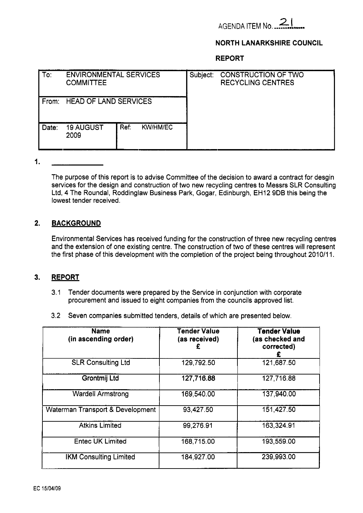

## **NORTH LANARKSHIRE COUNCIL**

**REPORT** 

| To:   | <b>ENVIRONMENTAL SERVICES</b><br><b>COMMITTEE</b> |      |                 | Subject: | <b>CONSTRUCTION OF TWO</b><br><b>RECYCLING CENTRES</b> |  |
|-------|---------------------------------------------------|------|-----------------|----------|--------------------------------------------------------|--|
| From: | <b>HEAD OF LAND SERVICES</b>                      |      |                 |          |                                                        |  |
| Date: | <b>19 AUGUST</b><br>2009                          | Ref: | <b>KW/HM/EC</b> |          |                                                        |  |

I.

The purpose of this report is to advise Committee of the decision to award a contract for desgin services for the design and construction of two new recycling centres to Messrs SLR Consulting Ltd, 4 The Roundal, Roddinglaw Business Park, Gogar, Edinburgh, EH12 9DB this being the lowest tender received.

#### **2. BACKGROUND**

Environmental Services has received funding for the construction of three new recycling centres and the extension of one existing centre. The construction of two of these centres will represent the first phase of this development with the completion of the project being throughout 2010/11.

#### **3. REPORT**

- 3.1 Tender documents were prepared by the Service in conjunction with corporate procurement and issued to eight companies from the councils approved list.
- 3.2 Seven companies submitted tenders, details of which are presented below.

| <b>Name</b><br>(in ascending order) | <b>Tender Value</b><br>(as received) | <b>Tender Value</b><br>(as checked and<br>corrected) |
|-------------------------------------|--------------------------------------|------------------------------------------------------|
| <b>SLR Consulting Ltd</b>           | 129,792.50                           | 121,687.50                                           |
| Grontmij Ltd                        | 127,716.88                           | 127,716.88                                           |
| <b>Wardell Armstrong</b>            | 169,540.00                           | 137,940.00                                           |
| Waterman Transport & Development    | 93,427.50                            | 151,427.50                                           |
| <b>Atkins Limited</b>               | 99,276.91                            | 163,324.91                                           |
| <b>Entec UK Limited</b>             | 168,715.00                           | 193,559.00                                           |
| <b>IKM Consulting Limited</b>       | 184,927.00                           | 239,993.00                                           |